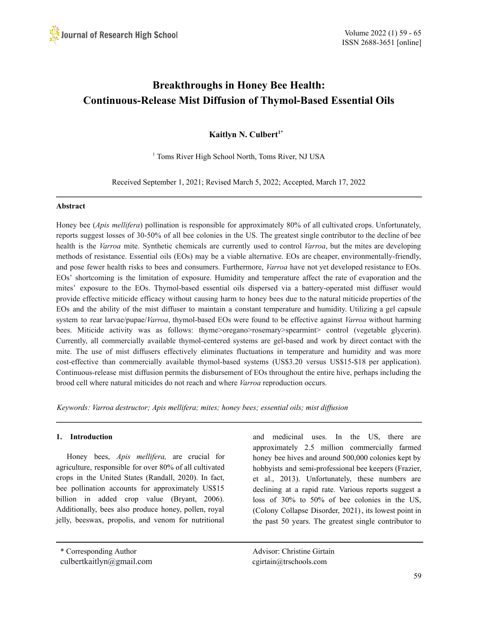# **Breakthroughs in Honey Bee Health: Continuous-Release Mist Diffusion of Thymol-Based Essential Oils**

**Kaitlyn N. Culbert 1\***

<sup>1</sup> Toms River High School North, Toms River, NJ USA

Received September 1, 2021; Revised March 5, 2022; Accepted, March 17, 2022

# **Abstract**

Honey bee (*Apis mellifera*) pollination is responsible for approximately 80% of all cultivated crops. Unfortunately, reports suggest losses of 30-50% of all bee colonies in the US. The greatest single contributor to the decline of bee health is the *Varroa* mite. Synthetic chemicals are currently used to control *Varroa*, but the mites are developing methods of resistance. Essential oils (EOs) may be a viable alternative. EOs are cheaper, environmentally-friendly, and pose fewer health risks to bees and consumers. Furthermore, *Varroa* have not yet developed resistance to EOs. EOs' shortcoming is the limitation of exposure. Humidity and temperature affect the rate of evaporation and the mites' exposure to the EOs. Thymol-based essential oils dispersed via a battery-operated mist diffuser would provide effective miticide efficacy without causing harm to honey bees due to the natural miticide properties of the EOs and the ability of the mist diffuser to maintain a constant temperature and humidity. Utilizing a gel capsule system to rear larvae/pupae/*Varroa*, thymol-based EOs were found to be effective against *Varroa* without harming bees. Miticide activity was as follows: thyme>oregano>rosemary>spearmint> control (vegetable glycerin). Currently, all commercially available thymol-centered systems are gel-based and work by direct contact with the mite. The use of mist diffusers effectively eliminates fluctuations in temperature and humidity and was more cost-effective than commercially available thymol-based systems (US\$3.20 versus US\$15-\$18 per application). Continuous-release mist diffusion permits the disbursement of EOs throughout the entire hive, perhaps including the brood cell where natural miticides do not reach and where *Varroa* reproduction occurs.

*Keywords: Varroa destructor; Apis mellifera; mites; honey bees; essential oils; mist dif usion*

# **1. Introduction**

Honey bees, *Apis mellifera,* are crucial for agriculture, responsible for over 80% of all cultivated crops in the United States (Randall, 2020). In fact, bee pollination accounts for approximately US\$15 billion in added crop value (Bryant, 2006). Additionally, bees also produce honey, pollen, royal jelly, beeswax, propolis, and venom for nutritional

\* Corresponding Author Advisor: Christine Girtain

culbertkaitlyn@gmail.com cgirtain@trschools.com

and medicinal uses. In the US, there are approximately 2.5 million commercially farmed honey bee hives and around 500,000 colonies kept by hobbyists and semi-professional bee keepers (Frazier, et al., 2013). Unfortunately, these numbers are declining at a rapid rate. Various reports suggest a loss of 30% to 50% of bee colonies in the US, (Colony Collapse Disorder, 2021), its lowest point in the past 50 years. The greatest single contributor to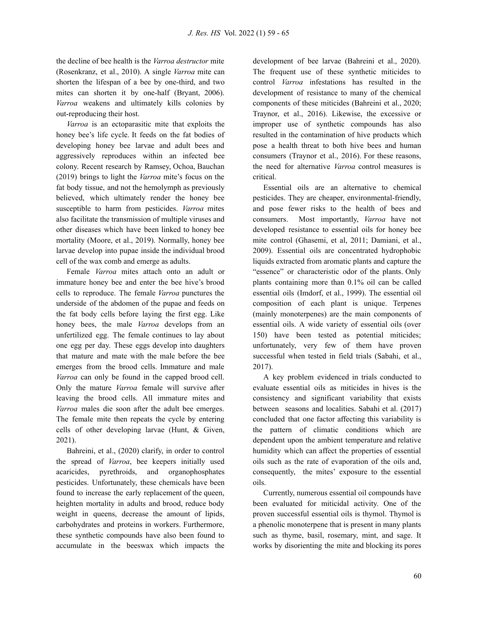the decline of bee health is the *Varroa destructor* mite (Rosenkranz, et al., 2010). A single *Varroa* mite can shorten the lifespan of a bee by one-third, and two mites can shorten it by one-half (Bryant, 2006). *Varroa* weakens and ultimately kills colonies by out-reproducing their host.

*Varroa* is an ectoparasitic mite that exploits the honey bee's life cycle. It feeds on the fat bodies of developing honey bee larvae and adult bees and aggressively reproduces within an infected bee colony. Recent research by Ramsey, Ochoa, Bauchan (2019) brings to light the *Varroa* mite's focus on the fat body tissue, and not the hemolymph as previously believed, which ultimately render the honey bee susceptible to harm from pesticides. *Varroa* mites also facilitate the transmission of multiple viruses and other diseases which have been linked to honey bee mortality (Moore, et al., 2019). Normally, honey bee larvae develop into pupae inside the individual brood cell of the wax comb and emerge as adults.

Female *Varroa* mites attach onto an adult or immature honey bee and enter the bee hive's brood cells to reproduce. The female *Varroa* punctures the underside of the abdomen of the pupae and feeds on the fat body cells before laying the first egg. Like honey bees, the male *Varroa* develops from an unfertilized egg. The female continues to lay about one egg per day. These eggs develop into daughters that mature and mate with the male before the bee emerges from the brood cells. Immature and male *Varroa* can only be found in the capped brood cell. Only the mature *Varroa* female will survive after leaving the brood cells. All immature mites and *Varroa* males die soon after the adult bee emerges. The female mite then repeats the cycle by entering cells of other developing larvae (Hunt, & Given, 2021).

Bahreini, et al., (2020) clarify, in order to control the spread of *Varroa*, bee keepers initially used acaricides, pyrethroids, and organophosphates pesticides. Unfortunately, these chemicals have been found to increase the early replacement of the queen, heighten mortality in adults and brood, reduce body weight in queens, decrease the amount of lipids, carbohydrates and proteins in workers. Furthermore, these synthetic compounds have also been found to accumulate in the beeswax which impacts the

development of bee larvae (Bahreini et al., 2020). The frequent use of these synthetic miticides to control *Varroa* infestations has resulted in the development of resistance to many of the chemical components of these miticides (Bahreini et al., 2020; Traynor, et al., 2016). Likewise, the excessive or improper use of synthetic compounds has also resulted in the contamination of hive products which pose a health threat to both hive bees and human consumers (Traynor et al., 2016). For these reasons, the need for alternative *Varroa* control measures is critical.

Essential oils are an alternative to chemical pesticides. They are cheaper, environmental-friendly, and pose fewer risks to the health of bees and consumers. Most importantly, *Varroa* have not developed resistance to essential oils for honey bee mite control (Ghasemi, et al, 2011; Damiani, et al., 2009). Essential oils are concentrated hydrophobic liquids extracted from aromatic plants and capture the "essence" or characteristic odor of the plants. Only plants containing more than 0.1% oil can be called essential oils (Imdorf, et al., 1999). The essential oil composition of each plant is unique. Terpenes (mainly monoterpenes) are the main components of essential oils. A wide variety of essential oils (over 150) have been tested as potential miticides; unfortunately, very few of them have proven successful when tested in field trials (Sabahi, et al., 2017).

A key problem evidenced in trials conducted to evaluate essential oils as miticides in hives is the consistency and significant variability that exists between seasons and localities. Sabahi et al. (2017) concluded that one factor affecting this variability is the pattern of climatic conditions which are dependent upon the ambient temperature and relative humidity which can affect the properties of essential oils such as the rate of evaporation of the oils and, consequently, the mites' exposure to the essential oils.

Currently, numerous essential oil compounds have been evaluated for miticidal activity. One of the proven successful essential oils is thymol. Thymol is a phenolic monoterpene that is present in many plants such as thyme, basil, rosemary, mint, and sage. It works by disorienting the mite and blocking its pores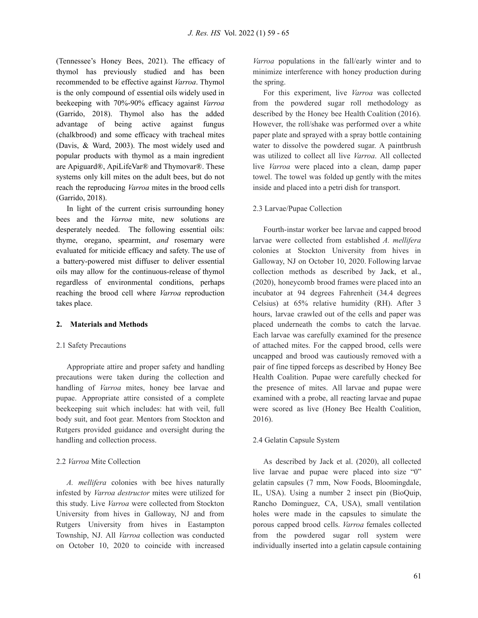(Tennessee's Honey Bees, 2021). The efficacy of thymol has previously studied and has been recommended to be effective against *Varroa*. Thymol is the only compound of essential oils widely used in beekeeping with 70%-90% efficacy against *Varroa* (Garrido, 2018). Thymol also has the added advantage of being active against fungus (chalkbrood) and some efficacy with tracheal mites (Davis, & Ward, 2003). The most widely used and popular products with thymol as a main ingredient are Apiguard®, ApiLifeVar® and Thymovar®. These systems only kill mites on the adult bees, but do not reach the reproducing *Varroa* mites in the brood cells (Garrido, 2018).

In light of the current crisis surrounding honey bees and the *Varroa* mite, new solutions are desperately needed. The following essential oils: thyme, oregano, spearmint, *and* rosemary were evaluated for miticide efficacy and safety. The use of a battery-powered mist diffuser to deliver essential oils may allow for the continuous-release of thymol regardless of environmental conditions, perhaps reaching the brood cell where *Varroa* reproduction takes place.

#### **2. Materials and Methods**

#### 2.1 Safety Precautions

Appropriate attire and proper safety and handling precautions were taken during the collection and handling of *Varroa* mites, honey bee larvae and pupae. Appropriate attire consisted of a complete beekeeping suit which includes: hat with veil, full body suit, and foot gear. Mentors from Stockton and Rutgers provided guidance and oversight during the handling and collection process.

#### 2.2 *Varroa* Mite Collection

*A. mellifera* colonies with bee hives naturally infested by *Varroa destructor* mites were utilized for this study. Live *Varroa* were collected from Stockton University from hives in Galloway, NJ and from Rutgers University from hives in Eastampton Township, NJ. All *Varroa* collection was conducted on October 10, 2020 to coincide with increased

*Varroa* populations in the fall/early winter and to minimize interference with honey production during the spring.

For this experiment, live *Varroa* was collected from the powdered sugar roll methodology as described by the Honey bee Health Coalition (2016). However, the roll/shake was performed over a white paper plate and sprayed with a spray bottle containing water to dissolve the powdered sugar. A paintbrush was utilized to collect all live *Varroa*. All collected live *Varroa* were placed into a clean, damp paper towel. The towel was folded up gently with the mites inside and placed into a petri dish for transport.

#### 2.3 Larvae/Pupae Collection

Fourth-instar worker bee larvae and capped brood larvae were collected from established *A. mellifera* colonies at Stockton University from hives in Galloway, NJ on October 10, 2020. Following larvae collection methods as described by Jack, et al., (2020), honeycomb brood frames were placed into an incubator at 94 degrees Fahrenheit (34.4 degrees Celsius) at 65% relative humidity (RH). After 3 hours, larvae crawled out of the cells and paper was placed underneath the combs to catch the larvae. Each larvae was carefully examined for the presence of attached mites. For the capped brood, cells were uncapped and brood was cautiously removed with a pair of fine tipped forceps as described by Honey Bee Health Coalition. Pupae were carefully checked for the presence of mites. All larvae and pupae were examined with a probe, all reacting larvae and pupae were scored as live (Honey Bee Health Coalition, 2016).

#### 2.4 Gelatin Capsule System

As described by Jack et al. (2020), all collected live larvae and pupae were placed into size "0" gelatin capsules (7 mm, Now Foods, Bloomingdale, IL, USA). Using a number 2 insect pin (BioQuip, Rancho Dominguez, CA, USA), small ventilation holes were made in the capsules to simulate the porous capped brood cells. *Varroa* females collected from the powdered sugar roll system were individually inserted into a gelatin capsule containing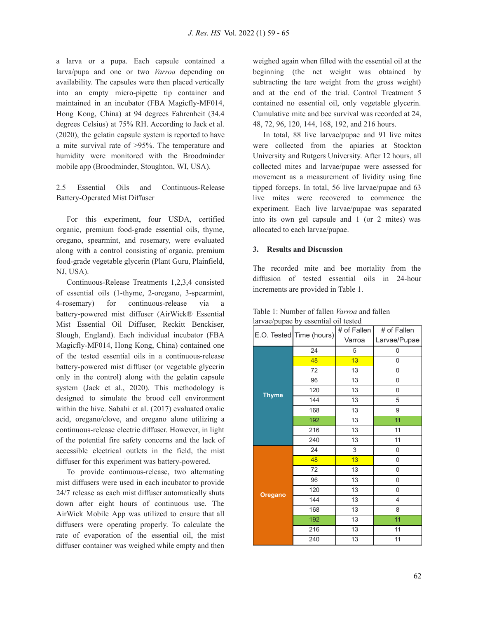a larva or a pupa. Each capsule contained a larva/pupa and one or two *Varroa* depending on availability. The capsules were then placed vertically into an empty micro-pipette tip container and maintained in an incubator (FBA Magicfly-MF014, Hong Kong, China) at 94 degrees Fahrenheit (34.4 degrees Celsius) at 75% RH. According to Jack et al. (2020), the gelatin capsule system is reported to have a mite survival rate of >95%. The temperature and humidity were monitored with the Broodminder mobile app (Broodminder, Stoughton, WI, USA).

2.5 Essential Oils and Continuous-Release Battery-Operated Mist Diffuser

For this experiment, four USDA, certified organic, premium food-grade essential oils, thyme, oregano, spearmint, and rosemary, were evaluated along with a control consisting of organic, premium food-grade vegetable glycerin (Plant Guru, Plainfield, NJ, USA).

Continuous-Release Treatments 1,2,3,4 consisted of essential oils (1-thyme, 2-oregano, 3-spearmint, 4-rosemary) for continuous-release via a battery-powered mist diffuser (AirWick® Essential Mist Essential Oil Diffuser, Reckitt Benckiser, Slough, England). Each individual incubator (FBA Magicfly-MF014, Hong Kong, China) contained one of the tested essential oils in a continuous-release battery-powered mist diffuser (or vegetable glycerin only in the control) along with the gelatin capsule system (Jack et al., 2020). This methodology is designed to simulate the brood cell environment within the hive. Sabahi et al. (2017) evaluated oxalic acid, oregano/clove, and oregano alone utilizing a continuous-release electric diffuser. However, in light of the potential fire safety concerns and the lack of accessible electrical outlets in the field, the mist diffuser for this experiment was battery-powered.

To provide continuous-release, two alternating mist diffusers were used in each incubator to provide 24/7 release as each mist diffuser automatically shuts down after eight hours of continuous use. The AirWick Mobile App was utilized to ensure that all diffusers were operating properly. To calculate the rate of evaporation of the essential oil, the mist diffuser container was weighed while empty and then

weighed again when filled with the essential oil at the beginning (the net weight was obtained by subtracting the tare weight from the gross weight) and at the end of the trial. Control Treatment 5 contained no essential oil, only vegetable glycerin. Cumulative mite and bee survival was recorded at 24, 48, 72, 96, 120, 144, 168, 192, and 216 hours.

In total, 88 live larvae/pupae and 91 live mites were collected from the apiaries at Stockton University and Rutgers University. After 12 hours, all collected mites and larvae/pupae were assessed for movement as a measurement of lividity using fine tipped forceps. In total, 56 live larvae/pupae and 63 live mites were recovered to commence the experiment. Each live larvae/pupae was separated into its own gel capsule and 1 (or 2 mites) was allocated to each larvae/pupae.

## **3. Results and Discussion**

The recorded mite and bee mortality from the diffusion of tested essential oils in 24-hour increments are provided in Table 1.

|                | E.O. Tested Time (hours) | # of Fallen | # of Fallen  |
|----------------|--------------------------|-------------|--------------|
|                |                          | Varroa      | Larvae/Pupae |
| <b>Thyme</b>   | 24                       | 5           | 0            |
|                | 48                       | 13          | 0            |
|                | 72                       | 13          | 0            |
|                | 96                       | 13          | 0            |
|                | 120                      | 13          | 0            |
|                | 144                      | 13          | 5            |
|                | 168                      | 13          | 9            |
|                | 192                      | 13          | 11           |
|                | 216                      | 13          | 11           |
|                | 240                      | 13          | 11           |
| <b>Oregano</b> | 24                       | 3           | 0            |
|                | 48                       | 13          | 0            |
|                | $72\,$                   | 13          | 0            |
|                | 96                       | 13          | 0            |
|                | 120                      | 13          | 0            |
|                | 144                      | 13          | 4            |
|                | 168                      | 13          | 8            |
|                | 192                      | 13          | 11           |
|                | 216                      | 13          | 11           |
|                | 240                      | 13          | 11           |

Table 1: Number of fallen *Varroa* and fallen larvae/pupae by essential oil tested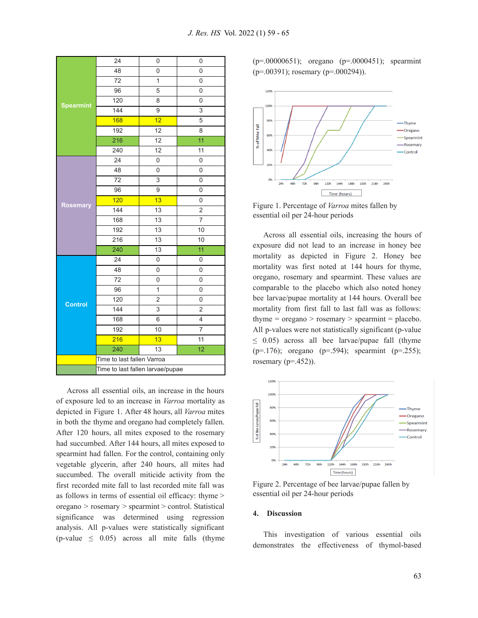|                  | 24                               | 0               | 0                       |  |
|------------------|----------------------------------|-----------------|-------------------------|--|
| <b>Spearmint</b> | 48                               | 0               | 0                       |  |
|                  | 72                               | $\overline{1}$  | $\overline{0}$          |  |
|                  | 96                               | 5               | 0                       |  |
|                  | 120                              | 8               | 0                       |  |
|                  | 144                              | 9               | 3                       |  |
|                  | 168                              | 12              | 5                       |  |
|                  | 192                              | 12              | 8                       |  |
|                  | 216                              | 12              | $\overline{11}$         |  |
| <b>Rosemary</b>  | 240                              | $\overline{12}$ | 11                      |  |
|                  | 24                               | 0               | 0                       |  |
|                  | 48                               | $\overline{0}$  | $\overline{0}$          |  |
|                  | 72                               | 3               | 0                       |  |
|                  | 96                               | 9               | 0                       |  |
|                  | 120                              | 13              | $\overline{0}$          |  |
|                  | 144                              | 13              | $\overline{c}$          |  |
|                  | 168                              | 13              | 7                       |  |
|                  | 192                              | $\overline{13}$ | 10                      |  |
|                  | 216                              | $\overline{13}$ | 10                      |  |
| <b>Control</b>   | 240                              | 13              | 11                      |  |
|                  | 24                               | 0               | $\overline{0}$          |  |
|                  | 48                               | 0               | 0                       |  |
|                  | 72                               | 0               | 0                       |  |
|                  | 96                               | $\overline{1}$  | $\overline{0}$          |  |
|                  | 120                              | $\overline{2}$  | 0                       |  |
|                  | 144                              | 3               | 2                       |  |
|                  | 168                              | 6               | $\overline{\mathbf{4}}$ |  |
|                  | 192                              | 10              | $\overline{7}$          |  |
|                  | 216                              | 13              | 11                      |  |
|                  | 240                              | 13              | $\overline{12}$         |  |
|                  | Time to last fallen Varroa       |                 |                         |  |
|                  | Time to last fallen larvae/pupae |                 |                         |  |

Across all essential oils, an increase in the hours of exposure led to an increase in *Varroa* mortality as depicted in Figure 1. After 48 hours, all *Varroa* mites in both the thyme and oregano had completely fallen. After 120 hours, all mites exposed to the rosemary had succumbed. After 144 hours, all mites exposed to spearmint had fallen. For the control, containing only vegetable glycerin, after 240 hours, all mites had succumbed. The overall miticide activity from the first recorded mite fall to last recorded mite fall was as follows in terms of essential oil efficacy: thyme > oregano > rosemary > spearmint > control. Statistical significance was determined using regression analysis. All p-values were statistically significant  $(p-value \leq 0.05)$  across all mite falls (thyme

(p=.00000651); oregano (p=.0000451); spearmint  $(p=0.00391)$ ; rosemary  $(p=0.000294)$ ).



Figure 1. Percentage of *Varroa* mites fallen by essential oil per 24-hour periods

Across all essential oils, increasing the hours of exposure did not lead to an increase in honey bee mortality as depicted in Figure 2. Honey bee mortality was first noted at 144 hours for thyme, oregano, rosemary and spearmint. These values are comparable to the placebo which also noted honey bee larvae/pupae mortality at 144 hours. Overall bee mortality from first fall to last fall was as follows: thyme  $=$  oregano  $>$  rosemary  $>$  spearmint  $=$  placebo. All p-values were not statistically significant (p-value  $\leq$  0.05) across all bee larvae/pupae fall (thyme ( $p=176$ ); oregano ( $p=0.594$ ); spearmint ( $p=0.255$ ); rosemary  $(p=452)$ ).



Figure 2. Percentage of bee larvae/pupae fallen by essential oil per 24-hour periods

#### **4. Discussion**

This investigation of various essential oils demonstrates the effectiveness of thymol-based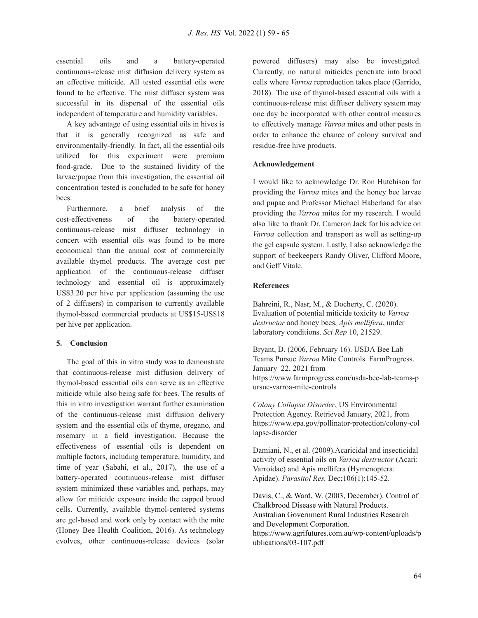essential oils and a battery-operated continuous-release mist diffusion delivery system as an effective miticide. All tested essential oils were found to be effective. The mist diffuser system was successful in its dispersal of the essential oils independent of temperature and humidity variables.

A key advantage of using essential oils in hives is that it is generally recognized as safe and environmentally-friendly. In fact, all the essential oils utilized for this experiment were premium food-grade. Due to the sustained lividity of the larvae/pupae from this investigation, the essential oil concentration tested is concluded to be safe for honey bees.

Furthermore, a brief analysis of the cost-effectiveness of the battery-operated continuous-release mist diffuser technology in concert with essential oils was found to be more economical than the annual cost of commercially available thymol products. The average cost per application of the continuous-release diffuser technology and essential oil is approximately US\$3.20 per hive per application (assuming the use of 2 diffusers) in comparison to currently available thymol-based commercial products at US\$15-US\$18 per hive per application.

# **5. Conclusion**

The goal of this in vitro study was to demonstrate that continuous-release mist diffusion delivery of thymol-based essential oils can serve as an effective miticide while also being safe for bees. The results of this in vitro investigation warrant further examination of the continuous-release mist diffusion delivery system and the essential oils of thyme, oregano, and rosemary in a field investigation. Because the effectiveness of essential oils is dependent on multiple factors, including temperature, humidity, and time of year (Sabahi, et al., 2017), the use of a battery-operated continuous-release mist diffuser system minimized these variables and, perhaps, may allow for miticide exposure inside the capped brood cells. Currently, available thymol-centered systems are gel-based and work only by contact with the mite (Honey Bee Health Coalition, 2016). As technology evolves, other continuous-release devices (solar

powered diffusers) may also be investigated. Currently, no natural miticides penetrate into brood cells where *Varroa* reproduction takes place (Garrido, 2018). The use of thymol-based essential oils with a continuous-release mist diffuser delivery system may one day be incorporated with other control measures to effectively manage *Varroa* mites and other pests in order to enhance the chance of colony survival and residue-free hive products.

## **Acknowledgement**

I would like to acknowledge Dr. Ron Hutchison for providing the *Varroa* mites and the honey bee larvae and pupae and Professor Michael Haberland for also providing the *Varroa* mites for my research. I would also like to thank Dr. Cameron Jack for his advice on *Varroa* collection and transport as well as setting-up the gel capsule system. Lastly, I also acknowledge the support of beekeepers Randy Oliver, Clifford Moore, and Geff Vitale.

## **References**

Bahreini, R., Nasr, M., & Docherty, C. (2020). Evaluation of potential miticide toxicity to *Varroa destructor* and honey bees, *Apis mellifera*, under laboratory conditions. *Sci Rep* 10, 21529.

Bryant, D. (2006, February 16). USDA Bee Lab Teams Pursue *Varroa* Mite Controls. FarmProgress. January 22, 2021 from https://www.farmprogress.com/usda-bee-lab-teams-p ursue-varroa-mite-controls

*Colony Collapse Disorder*, US Environmental Protection Agency. Retrieved January, 2021, from https://www.epa.gov/pollinator-protection/colony-col lapse-disorder

Damiani, N., et al. (2009).Acaricidal and insecticidal activity of essential oils on *Varroa destructor* (Acari: Varroidae) and Apis mellifera (Hymenoptera: Apidae). *Parasitol Res.* Dec;106(1):145-52.

Davis, C., & Ward, W. (2003, December). Control of Chalkbrood Disease with Natural Products. Australian Government Rural Industries Research and Development Corporation. https://www.agrifutures.com.au/wp-content/uploads/p ublications/03-107.pdf